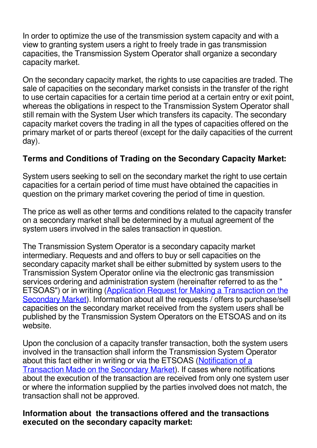In order to optimize the use of the transmission system capacity and with a view to granting system users a right to freely trade in gas transmission capacities, the Transmission System Operator shall organize a secondary capacity market.

On the secondary capacity market, the rights to use capacities are traded. The sale of capacities on the secondary market consists in the transfer of the right to use certain capacities for a certain time period at a certain entry or exit point, whereas the obligations in respect to the Transmission System Operator shall still remain with the System User which transfers its capacity. The secondary capacity market covers the trading in all the types of capacities offered on the primary market of or parts thereof (except for the daily capacities of the current day).

## **Terms and Conditions of Trading on the Secondary Capacity Market:**

System users seeking to sell on the secondary market the right to use certain capacities for a certain period of time must have obtained the capacities in question on the primary market covering the period of time in question.

The price as well as other terms and conditions related to the capacity transfer on a secondary market shall be determined by a mutual agreement of the system users involved in the sales transaction in question.

The Transmission System Operator is a secondary capacity market intermediary. Requests and and offers to buy or sell capacities on the secondary capacity market shall be either submitted by system users to the Transmission System Operator online via the electronic gas transmission services ordering and administration system (hereinafter referred to as the " ETSOAS") or in writing ([Application Request for Making a Transaction on the](/uploads/documents/Astos%20St/Application%20request%20for%20making%20a%20transaction%20on%20the%20secondary%20capacity%20market.docx) [Secondary Market](/uploads/documents/Astos%20St/Application%20request%20for%20making%20a%20transaction%20on%20the%20secondary%20capacity%20market.docx)). Information about all the requests / offers to purchase/sell capacities on the secondary market received from the system users shall be published by the Transmission System Operators on the ETSOAS and on its website.

Upon the conclusion of a capacity transfer transaction, both the system users involved in the transaction shall inform the Transmission System Operator about this fact either in writing or via the ETSOAS ([Notification of a](/uploads/documents/Astos%20St/Notification%20of%20a%20transaction%20made%20on%20the%20secondary%20capacity%20market.docx) [Transaction Made on the Secondary Market](/uploads/documents/Astos%20St/Notification%20of%20a%20transaction%20made%20on%20the%20secondary%20capacity%20market.docx)). If cases where notifications about the execution of the transaction are received from only one system user or where the information supplied by the parties involved does not match, the transaction shall not be approved.

## **Information about the transactions offered and the transactions executed on the secondary capacity market:**